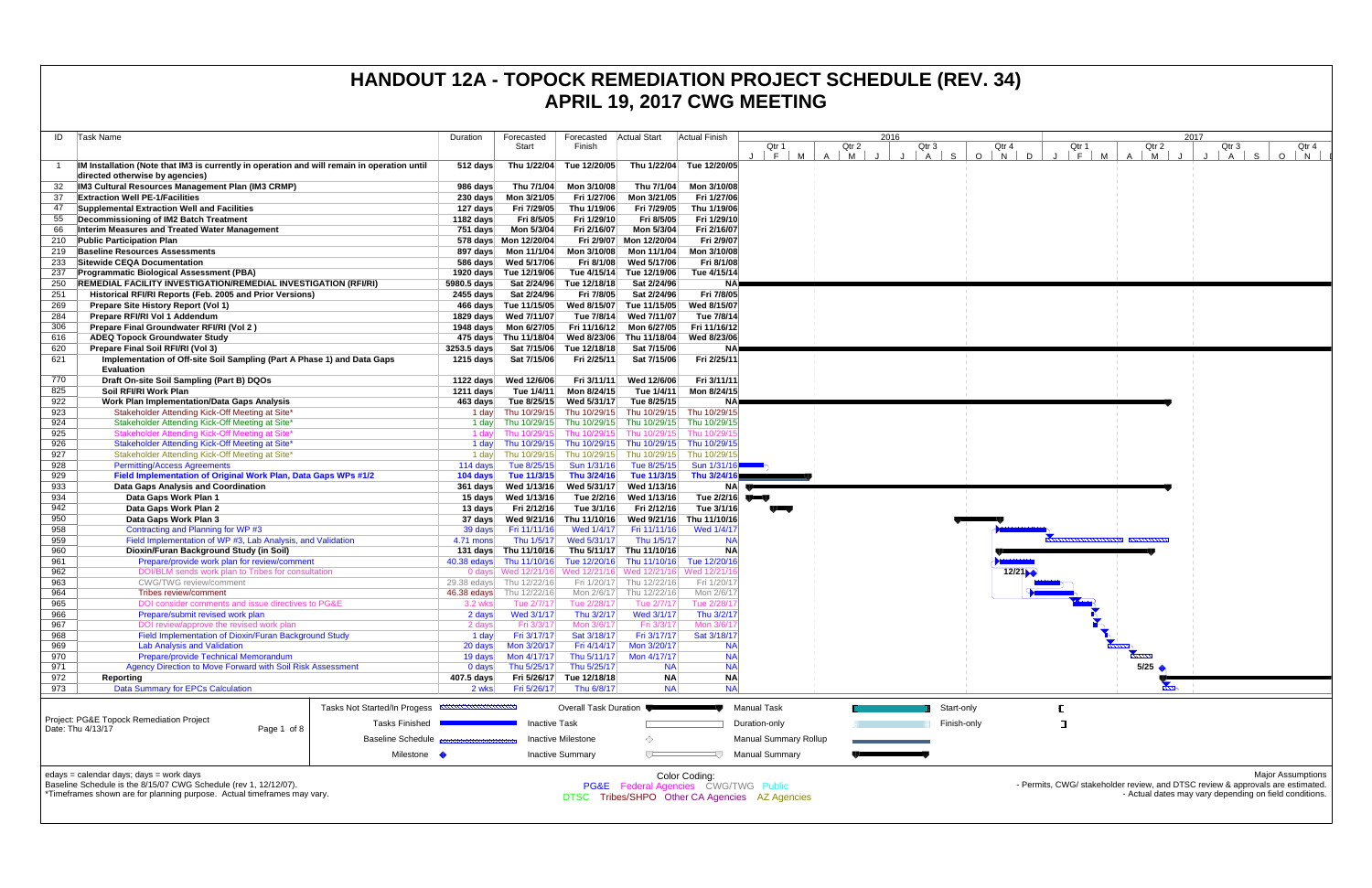| ID         | Task Name                                                                                                                                                                              | Duration               | Forecasted                 | Forecasted                | <b>Actual Start</b>                             | <b>Actual Finish</b>     |                                                | 2016              |                     |                                     |
|------------|----------------------------------------------------------------------------------------------------------------------------------------------------------------------------------------|------------------------|----------------------------|---------------------------|-------------------------------------------------|--------------------------|------------------------------------------------|-------------------|---------------------|-------------------------------------|
|            |                                                                                                                                                                                        |                        | Start                      | Finish                    |                                                 |                          | Qtr 1                                          | Qtr 2             | Qtr 3               | Qtı                                 |
| -1         | IM Installation (Note that IM3 is currently in operation and will remain in operation until<br>directed otherwise by agencies)                                                         | $512$ days             | Thu 1/22/04                | Tue 12/20/05              | Thu 1/22/04                                     | Tue 12/20/05             | F<br>M                                         | $\mathsf{A}$<br>M | S<br>$\overline{A}$ | $\circ$<br>$\overline{\phantom{a}}$ |
| 32         | IM3 Cultural Resources Management Plan (IM3 CRMP)                                                                                                                                      | 986 days               | Thu 7/1/04                 | Mon 3/10/08               | Thu 7/1/04                                      | Mon 3/10/08              |                                                |                   |                     |                                     |
| 37         | <b>Extraction Well PE-1/Facilities</b>                                                                                                                                                 | 230 days               | Mon 3/21/05                | Fri 1/27/06               | Mon 3/21/05                                     | Fri 1/27/06              |                                                |                   |                     |                                     |
| 47         | Supplemental Extraction Well and Facilities                                                                                                                                            | 127 days               | Fri 7/29/05                | Thu 1/19/06               | Fri 7/29/05                                     | Thu 1/19/06              |                                                |                   |                     |                                     |
| 55         | Decommissioning of IM2 Batch Treatment                                                                                                                                                 | 1182 days              | Fri 8/5/05                 | Fri 1/29/10               | Fri 8/5/05                                      | Fri 1/29/10              |                                                |                   |                     |                                     |
| 66         | Interim Measures and Treated Water Management                                                                                                                                          | 751 days               | Mon 5/3/04                 | Fri 2/16/07               | Mon 5/3/04                                      | Fri 2/16/07              |                                                |                   |                     |                                     |
| 210        | <b>Public Participation Plan</b>                                                                                                                                                       |                        | 578 days Mon 12/20/04      | Fri 2/9/07                | Mon 12/20/04                                    | Fri 2/9/07               |                                                |                   |                     |                                     |
| 219        | <b>Baseline Resources Assessments</b>                                                                                                                                                  | 897 days               | Mon 11/1/04                | Mon 3/10/08               | Mon 11/1/04                                     | Mon 3/10/08              |                                                |                   |                     |                                     |
| 233        | Sitewide CEQA Documentation                                                                                                                                                            | 586 days               | Wed 5/17/06                | Fri 8/1/08                | Wed 5/17/06                                     | Fri 8/1/08               |                                                |                   |                     |                                     |
| 237        | <b>Programmatic Biological Assessment (PBA)</b>                                                                                                                                        |                        | 1920 days Tue 12/19/06     | Tue 4/15/14               | Tue 12/19/06                                    | Tue 4/15/14              |                                                |                   |                     |                                     |
| 250        | <b>REMEDIAL FACILITY INVESTIGATION/REMEDIAL INVESTIGATION (RFI/RI)</b>                                                                                                                 | 5980.5 days            | Sat 2/24/96                | Tue 12/18/18              | Sat 2/24/96                                     | <b>NA</b>                |                                                |                   |                     |                                     |
| 251        | Historical RFI/RI Reports (Feb. 2005 and Prior Versions)                                                                                                                               | 2455 days              | Sat 2/24/96                | Fri 7/8/05                | Sat 2/24/96                                     | Fri 7/8/05               |                                                |                   |                     |                                     |
| 269        | Prepare Site History Report (Vol 1)                                                                                                                                                    |                        | 466 days Tue 11/15/05      | Wed 8/15/07               | Tue 11/15/05                                    | Wed 8/15/07              |                                                |                   |                     |                                     |
| 284        | Prepare RFI/RI Vol 1 Addendum                                                                                                                                                          | 1829 days              | Wed 7/11/07                | Tue 7/8/14                | Wed 7/11/07                                     | Tue 7/8/14               |                                                |                   |                     |                                     |
| 306        | Prepare Final Groundwater RFI/RI (Vol 2)                                                                                                                                               | 1948 days              | Mon 6/27/05                | Fri 11/16/12              | Mon 6/27/05                                     | Fri 11/16/12             |                                                |                   |                     |                                     |
| 616        | <b>ADEQ Topock Groundwater Study</b>                                                                                                                                                   |                        | 475 days Thu 11/18/04      | Wed 8/23/06               | Thu 11/18/04                                    | Wed 8/23/06              |                                                |                   |                     |                                     |
| 620        | Prepare Final Soil RFI/RI (Vol 3)                                                                                                                                                      | 3253.5 days            | Sat 7/15/06                | Tue 12/18/18              | Sat 7/15/06                                     | <b>NA</b>                |                                                |                   |                     |                                     |
| 621        | Implementation of Off-site Soil Sampling (Part A Phase 1) and Data Gaps<br><b>Evaluation</b>                                                                                           | 1215 days              | Sat 7/15/06                | Fri 2/25/11               | Sat 7/15/06                                     | Fri 2/25/11              |                                                |                   |                     |                                     |
| 770        | Draft On-site Soil Sampling (Part B) DQOs                                                                                                                                              | 1122 days              | Wed 12/6/06                | Fri 3/11/11               | Wed 12/6/06                                     | Fri 3/11/11              |                                                |                   |                     |                                     |
| 825        | Soil RFI/RI Work Plan                                                                                                                                                                  | $1211$ days            | Tue 1/4/11                 | Mon 8/24/15               | Tue 1/4/11                                      | Mon 8/24/15              |                                                |                   |                     |                                     |
| 922        | <b>Work Plan Implementation/Data Gaps Analysis</b>                                                                                                                                     | 463 days               | Tue 8/25/15                | Wed 5/31/17               | Tue 8/25/15                                     | <b>NA</b>                |                                                |                   |                     |                                     |
| 923        | Stakeholder Attending Kick-Off Meeting at Site*                                                                                                                                        | 1 day                  | Thu 10/29/15               | Thu 10/29/15              | Thu 10/29/15                                    | Thu 10/29/15             |                                                |                   |                     |                                     |
| 924        | Stakeholder Attending Kick-Off Meeting at Site*                                                                                                                                        | 1 day                  | Thu 10/29/15               | Thu 10/29/15              | Thu 10/29/15                                    | Thu 10/29/15             |                                                |                   |                     |                                     |
| 925        | Stakeholder Attending Kick-Off Meeting at Site*                                                                                                                                        | 1 day                  | Thu 10/29/15               | Thu 10/29/15              | Thu 10/29/15                                    | Thu 10/29/1              |                                                |                   |                     |                                     |
| 926        | Stakeholder Attending Kick-Off Meeting at Site*                                                                                                                                        | 1 day                  | Thu 10/29/15               | Thu 10/29/15              | Thu 10/29/15                                    | Thu 10/29/15             |                                                |                   |                     |                                     |
| 927        | Stakeholder Attending Kick-Off Meeting at Site*                                                                                                                                        | 1 day                  | Thu 10/29/15               | Thu 10/29/15              | Thu 10/29/15                                    | Thu 10/29/15             |                                                |                   |                     |                                     |
| 928        | <b>Permitting/Access Agreements</b>                                                                                                                                                    | 114 days               | Tue 8/25/15                | Sun 1/31/16               | Tue 8/25/15                                     | Sun 1/31/16              |                                                |                   |                     |                                     |
| 929        | Field Implementation of Original Work Plan, Data Gaps WPs #1/2                                                                                                                         | 104 days               | Tue 11/3/15                | Thu 3/24/16               | Tue 11/3/15                                     | Thu 3/24/16              |                                                |                   |                     |                                     |
| 933        | Data Gaps Analysis and Coordination                                                                                                                                                    | 361 days               | Wed 1/13/16                | Wed 5/31/17               | Wed 1/13/16                                     | <b>NA</b>                |                                                |                   |                     |                                     |
| 934        | Data Gaps Work Plan 1                                                                                                                                                                  | 15 days                | Wed 1/13/16                | Tue 2/2/16                | Wed 1/13/16                                     | Tue $2/2/16$             |                                                |                   |                     |                                     |
| 942        | Data Gaps Work Plan 2                                                                                                                                                                  | 13 days                | Fri 2/12/16                | Tue 3/1/16                | Fri 2/12/16                                     | Tue 3/1/16               |                                                |                   |                     |                                     |
| 950        | Data Gaps Work Plan 3                                                                                                                                                                  | 37 days                | Wed 9/21/16                | Thu 11/10/16              | Wed 9/21/16                                     | Thu 11/10/16             |                                                |                   |                     |                                     |
| 958        | Contracting and Planning for WP #3                                                                                                                                                     | 39 days                | Fri 11/11/16               | Wed 1/4/17                | Fri 11/11/16                                    | Wed 1/4/17               |                                                |                   |                     |                                     |
| 959        | Field Implementation of WP #3, Lab Analysis, and Validation                                                                                                                            | 4.71 mons              | Thu 1/5/17                 | Wed 5/31/17               | Thu 1/5/17                                      | <b>NA</b>                |                                                |                   |                     |                                     |
| 960        | Dioxin/Furan Background Study (in Soil)                                                                                                                                                | 131 days               | Thu 11/10/16               | Thu 5/11/17               | Thu 11/10/16                                    | <b>NA</b>                |                                                |                   |                     |                                     |
| 961        | Prepare/provide work plan for review/comment                                                                                                                                           | 40.38 edays            | Thu 11/10/16               | Tue 12/20/16              | Thu 11/10/16                                    | Tue 12/20/16             |                                                |                   |                     |                                     |
| 962<br>963 | DOI/BLM sends work plan to Tribes for consultation<br>CWG/TWG review/comment                                                                                                           |                        | 0 days Wed 12/21/16        | Wed 12/21/16              | Wed 12/21/16 Wed 12/21/1<br>Thu 12/22/16        |                          |                                                |                   |                     |                                     |
| 964        | Tribes review/comment                                                                                                                                                                  |                        | 29.38 edays Thu 12/22/16   | Fri 1/20/17<br>Mon 2/6/17 | Thu 12/22/16                                    | Fri 1/20/17              |                                                |                   |                     |                                     |
| 965        | DOI consider comments and issue directives to PG&E                                                                                                                                     | 46.38 edays<br>3.2 wks | Thu 12/22/16<br>Tue 2/7/17 | Tue 2/28/17               | Tue 2/7/17                                      | Mon 2/6/17<br>Tue 2/28/1 |                                                |                   |                     |                                     |
| 966        | Prepare/submit revised work plan                                                                                                                                                       | 2 days                 | Wed 3/1/17                 | Thu 3/2/17                | Wed 3/1/17                                      | Thu 3/2/17               |                                                |                   |                     |                                     |
| 967        | DOI review/approve the revised work plan                                                                                                                                               | 2 days                 | Fri 3/3/17                 | Mon 3/6/17                | Fri 3/3/17                                      | Mon 3/6/1                |                                                |                   |                     |                                     |
| 968        | Field Implementation of Dioxin/Furan Background Study                                                                                                                                  | 1 day                  | Fri 3/17/17                | Sat 3/18/17               | Fri 3/17/17                                     | Sat 3/18/17              |                                                |                   |                     |                                     |
| 969        | <b>Lab Analysis and Validation</b>                                                                                                                                                     | 20 days                | Mon 3/20/17                | Fri 4/14/17               | Mon 3/20/17                                     | <b>NA</b>                |                                                |                   |                     |                                     |
| 970        | Prepare/provide Technical Memorandum                                                                                                                                                   | 19 days                | Mon 4/17/17                | Thu 5/11/17               | Mon 4/17/17                                     | <b>NA</b>                |                                                |                   |                     |                                     |
| 971        | Agency Direction to Move Forward with Soil Risk Assessment                                                                                                                             | $0$ days               | Thu 5/25/17                | Thu 5/25/17               | <b>NA</b>                                       | <b>NA</b>                |                                                |                   |                     |                                     |
| 972        | Reporting                                                                                                                                                                              | 407.5 days             | Fri 5/26/17                | Tue 12/18/18              | <b>NA</b>                                       | <b>NA</b>                |                                                |                   |                     |                                     |
| 973        | <b>Data Summary for EPCs Calculation</b>                                                                                                                                               | 2 wks                  | Fri 5/26/17                | Thu 6/8/17                | <b>NA</b>                                       | <b>NA</b>                |                                                |                   |                     |                                     |
|            |                                                                                                                                                                                        |                        |                            |                           |                                                 |                          |                                                |                   |                     |                                     |
|            | Tasks Not Started/In Progess <b>ANNUAL DESCRIPTION</b><br>Project: PG&E Topock Remediation Project                                                                                     |                        |                            | Overall Task Duration     |                                                 |                          | <b>Manual Task</b>                             |                   | Start-only          |                                     |
|            | <b>Tasks Finished</b><br>Date: Thu 4/13/17<br>Page 1 of 8                                                                                                                              |                        | <b>Inactive Task</b>       |                           |                                                 |                          | Duration-only                                  |                   | Finish-only         |                                     |
|            | <b>Baseline Schedule</b>                                                                                                                                                               |                        |                            | <b>Inactive Milestone</b> | ◇                                               |                          | <b>Manual Summary Rollup</b>                   |                   |                     |                                     |
|            | Milestone •                                                                                                                                                                            |                        |                            | <b>Inactive Summary</b>   | $\Box$                                          |                          | <b>Manual Summary</b>                          |                   |                     |                                     |
|            | edays = calendar days; days = work days<br>Baseline Schedule is the 8/15/07 CWG Schedule (rev 1, 12/12/07).<br>*Timeframes shown are for planning purpose. Actual timeframes may vary. |                        |                            |                           | <b>PG&amp;E</b> Federal Agencies CWG/TWG Public | Color Coding:            | DTSC Tribes/SHPO Other CA Agencies AZ Agencies |                   |                     |                                     |

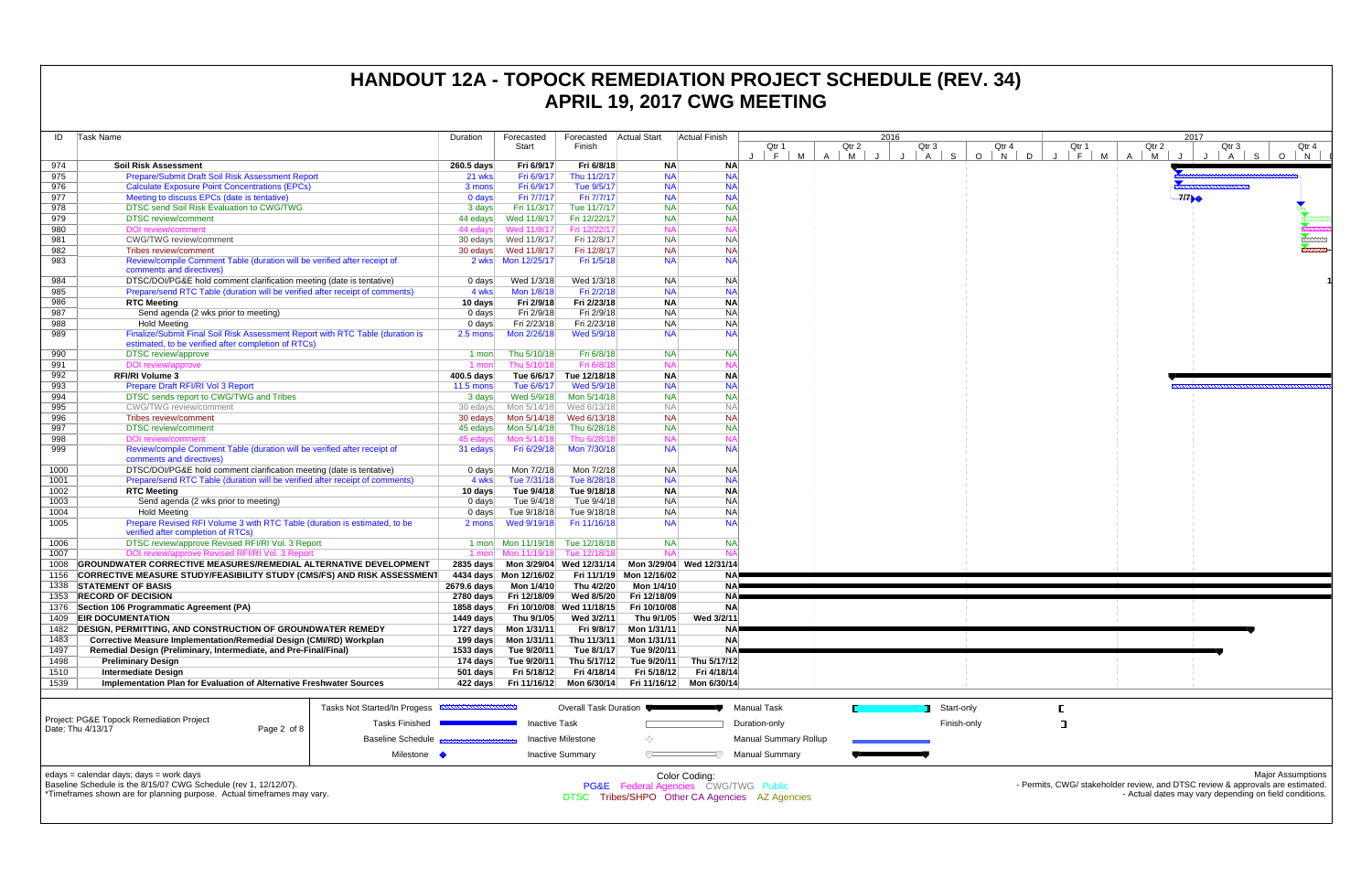| ID         | Task Name                                                                                                                            | Duration                     | Forecasted         | Forecasted                 | <b>Actual Start</b>        | Actual Finish                        |                          | 2016                                           |                              |                       |             |                     |
|------------|--------------------------------------------------------------------------------------------------------------------------------------|------------------------------|--------------------|----------------------------|----------------------------|--------------------------------------|--------------------------|------------------------------------------------|------------------------------|-----------------------|-------------|---------------------|
|            |                                                                                                                                      |                              |                    | Start                      | Finish                     |                                      |                          | Qtr 1<br>F.<br>M                               | Qtr 2<br>$\overline{A}$<br>M | Qtr 3<br>$\mathsf{A}$ | S.          | Qtr<br>$\circ$<br>N |
| 974        | <b>Soil Risk Assessment</b>                                                                                                          |                              | 260.5 days         | Fri 6/9/17                 | Fri 6/8/18                 | <b>NA</b>                            | <b>NA</b>                |                                                |                              |                       |             |                     |
| 975        | Prepare/Submit Draft Soil Risk Assessment Report                                                                                     |                              | 21 wks             | Fri 6/9/17                 | Thu 11/2/17                | <b>NA</b>                            | <b>NA</b>                |                                                |                              |                       |             |                     |
| 976        | <b>Calculate Exposure Point Concentrations (EPCs)</b>                                                                                |                              | 3 mons             | Fri 6/9/17                 | Tue 9/5/17                 | <b>NA</b>                            | <b>NA</b>                |                                                |                              |                       |             |                     |
| 977        | Meeting to discuss EPCs (date is tentative)                                                                                          |                              | $0$ days           | Fri 7/7/17                 | Fri 7/7/17                 | <b>NA</b>                            | <b>NA</b>                |                                                |                              |                       |             |                     |
| 978        | DTSC send Soil Risk Evaluation to CWG/TWG                                                                                            |                              | 3 days             | Fri 11/3/17                | Tue 11/7/17                | <b>NA</b>                            | <b>NA</b>                |                                                |                              |                       |             |                     |
| 979        | <b>DTSC</b> review/comment                                                                                                           |                              | 44 edays           | Wed 11/8/17                | Fri 12/22/17               | <b>NA</b>                            | <b>NA</b>                |                                                |                              |                       |             |                     |
| 980        | <b>DOI</b> review/comment                                                                                                            |                              | 44 edays           | Wed 11/8/17                | Fri 12/22/17               | <b>NA</b>                            | <b>NA</b>                |                                                |                              |                       |             |                     |
| 981        | <b>CWG/TWG</b> review/comment                                                                                                        |                              | 30 edays           | Wed 11/8/17                | Fri 12/8/17                | <b>NA</b>                            | <b>NA</b>                |                                                |                              |                       |             |                     |
| 982        | Tribes review/comment                                                                                                                |                              | 30 edays           | Wed 11/8/17                | Fri 12/8/17                | <b>NA</b>                            | <b>NA</b>                |                                                |                              |                       |             |                     |
| 983        | Review/compile Comment Table (duration will be verified after receipt of<br>comments and directives)                                 |                              |                    |                            | Fri 1/5/18                 | <b>NA</b>                            | <b>NA</b>                |                                                |                              |                       |             |                     |
| 984        | DTSC/DOI/PG&E hold comment clarification meeting (date is tentative)                                                                 |                              | 0 days             | Wed 1/3/18                 | Wed 1/3/18                 | <b>NA</b>                            | <b>NA</b>                |                                                |                              |                       |             |                     |
| 985        | Prepare/send RTC Table (duration will be verified after receipt of comments)                                                         |                              | 4 wks              | Mon 1/8/18                 | Fri 2/2/18                 | <b>NA</b>                            | <b>NA</b>                |                                                |                              |                       |             |                     |
| 986        | <b>RTC Meeting</b>                                                                                                                   |                              | 10 days            | Fri 2/9/18                 | Fri 2/23/18                | <b>NA</b>                            | <b>NA</b>                |                                                |                              |                       |             |                     |
| 987        | Send agenda (2 wks prior to meeting)                                                                                                 |                              | $0 \text{ days}$   | Fri 2/9/18                 | Fri 2/9/18                 | <b>NA</b>                            | <b>NA</b>                |                                                |                              |                       |             |                     |
| 988        | <b>Hold Meeting</b>                                                                                                                  |                              | $0 \text{ days}$   | Fri 2/23/18                | Fri 2/23/18                | <b>NA</b>                            | <b>NA</b>                |                                                |                              |                       |             |                     |
| 989        | Finalize/Submit Final Soil Risk Assessment Report with RTC Table (duration is<br>estimated, to be verified after completion of RTCs) |                              | 2.5 mons           | Mon 2/26/18                | Wed 5/9/18                 | <b>NA</b>                            | <b>NA</b>                |                                                |                              |                       |             |                     |
| 990        | <b>DTSC</b> review/approve                                                                                                           |                              | 1 mon              | Thu 5/10/18                | Fri 6/8/18                 | <b>NA</b>                            | <b>NA</b>                |                                                |                              |                       |             |                     |
| 991        | DOI review/approve                                                                                                                   |                              | 1 mon              | Thu 5/10/18                | Fri 6/8/18                 | <b>NA</b>                            | <b>NA</b>                |                                                |                              |                       |             |                     |
| 992        | <b>RFI/RI Volume 3</b>                                                                                                               |                              | 400.5 days         | Tue 6/6/17                 | Tue 12/18/18               | <b>NA</b>                            | <b>NA</b>                |                                                |                              |                       |             |                     |
| 993        | Prepare Draft RFI/RI Vol 3 Report                                                                                                    |                              | $11.5$ mons        | Tue 6/6/17                 | Wed 5/9/18                 | <b>NA</b>                            | <b>NA</b>                |                                                |                              |                       |             |                     |
| 994        |                                                                                                                                      |                              |                    | Wed 5/9/18                 |                            | <b>NA</b>                            | <b>NA</b>                |                                                |                              |                       |             |                     |
|            | DTSC sends report to CWG/TWG and Tribes<br><b>CWG/TWG</b> review/comment                                                             |                              | 3 days             |                            | Mon 5/14/18<br>Wed 6/13/18 |                                      | NA                       |                                                |                              |                       |             |                     |
| 995<br>996 |                                                                                                                                      |                              | 30 edays           | Mon 5/14/18<br>Mon 5/14/18 |                            | <b>NA</b><br><b>NA</b>               | <b>NA</b>                |                                                |                              |                       |             |                     |
|            | Tribes review/comment                                                                                                                |                              | 30 edays           |                            | Wed 6/13/18                |                                      | <b>NA</b>                |                                                |                              |                       |             |                     |
| 997        | <b>DTSC</b> review/comment                                                                                                           |                              | 45 edays           | Mon 5/14/18<br>Mon 5/14/18 | Thu 6/28/18                | <b>NA</b>                            |                          |                                                |                              |                       |             |                     |
| 998        | <b>DOI</b> review/comment                                                                                                            |                              | 45 edays           |                            | Thu 6/28/18                | <b>NA</b>                            | <b>NA</b>                |                                                |                              |                       |             |                     |
| 999        | Review/compile Comment Table (duration will be verified after receipt of<br>comments and directives)                                 |                              | 31 edays           | Fri 6/29/18                | Mon 7/30/18                | <b>NA</b>                            | <b>NA</b>                |                                                |                              |                       |             |                     |
| 1000       | DTSC/DOI/PG&E hold comment clarification meeting (date is tentative)                                                                 |                              | 0 days             | Mon 7/2/18                 | Mon 7/2/18                 | <b>NA</b>                            | <b>NA</b>                |                                                |                              |                       |             |                     |
| 1001       | Prepare/send RTC Table (duration will be verified after receipt of comments)                                                         |                              | 4 wks              | Tue 7/31/18                | Tue 8/28/18                | <b>NA</b>                            | <b>NA</b>                |                                                |                              |                       |             |                     |
| 1002       | <b>RTC Meeting</b>                                                                                                                   |                              | 10 days            | Tue 9/4/18                 | Tue 9/18/18                | <b>NA</b>                            | <b>NA</b>                |                                                |                              |                       |             |                     |
| 1003       | Send agenda (2 wks prior to meeting)                                                                                                 |                              | $0$ days           | Tue 9/4/18                 | Tue 9/4/18                 | <b>NA</b>                            | <b>NA</b>                |                                                |                              |                       |             |                     |
| 1004       | <b>Hold Meeting</b>                                                                                                                  |                              | $0$ days           | Tue 9/18/18                | Tue 9/18/18                | <b>NA</b>                            | <b>NA</b>                |                                                |                              |                       |             |                     |
| 1005       | Prepare Revised RFI Volume 3 with RTC Table (duration is estimated, to be<br>verified after completion of RTCs)                      |                              | 2 mons             | Wed 9/19/18                | Fri 11/16/18               | <b>NA</b>                            | <b>NA</b>                |                                                |                              |                       |             |                     |
| 1006       | DTSC review/approve Revised RFI/RI Vol. 3 Report                                                                                     |                              | 1 mon              | Mon 11/19/18               | Tue 12/18/18               | <b>NA</b>                            | <b>NA</b>                |                                                |                              |                       |             |                     |
| 1007       | DOI review/approve Revised RFI/RI Vol. 3 Report                                                                                      |                              | 1 mon              | Mon 11/19/18               | Tue 12/18/18               | <b>NA</b>                            | $N_A$                    |                                                |                              |                       |             |                     |
| 1008       | GROUNDWATER CORRECTIVE MEASURES/REMEDIAL ALTERNATIVE DEVELOPMENT                                                                     |                              | $2835$ days        |                            | Mon 3/29/04 Wed 12/31/14   |                                      | Mon 3/29/04 Wed 12/31/14 |                                                |                              |                       |             |                     |
| 1156       | <b>CORRECTIVE MEASURE STUDY/FEASIBILITY STUDY (CMS/FS) AND RISK ASSESSMENT</b>                                                       |                              |                    | 4434 days  Mon 12/16/02    | Fri 11/1/19                | Mon 12/16/02                         | ΝA                       |                                                |                              |                       |             |                     |
| 1338       | <b>STATEMENT OF BASIS</b>                                                                                                            |                              | 2679.6 days        | Mon 1/4/10                 | Thu 4/2/20                 | Mon 1/4/10                           | <b>NA</b>                |                                                |                              |                       |             |                     |
| 1353       | <b>RECORD OF DECISION</b>                                                                                                            |                              | $2780$ days        | Fri 12/18/09               | Wed 8/5/20                 | Fri 12/18/09                         | <b>NA</b>                |                                                |                              |                       |             |                     |
| 1376       | Section 106 Programmatic Agreement (PA)                                                                                              |                              | 1858 days          |                            | Fri 10/10/08 Wed 11/18/15  | Fri 10/10/08                         | <b>NA</b>                |                                                |                              |                       |             |                     |
| 1409       | <b>EIR DOCUMENTATION</b>                                                                                                             |                              | 1449 days          | Thu 9/1/05                 | Wed 3/2/11                 | Thu 9/1/05                           | Wed 3/2/11               |                                                |                              |                       |             |                     |
| 1482       | <b>DESIGN, PERMITTING, AND CONSTRUCTION OF GROUNDWATER REMEDY</b>                                                                    |                              | 1727 days          | Mon 1/31/11                | Fri 9/8/17                 | Mon 1/31/11                          | NΑ                       |                                                |                              |                       |             |                     |
| 1483       | Corrective Measure Implementation/Remedial Design (CMI/RD) Workplan                                                                  |                              | 199 days           | Mon 1/31/11                | Thu 11/3/11                | Mon 1/31/11                          | <b>NA</b>                |                                                |                              |                       |             |                     |
| 1497       | Remedial Design (Preliminary, Intermediate, and Pre-Final/Final)                                                                     |                              | 1533 days          | Tue 9/20/11                | Tue 8/1/17                 | Tue 9/20/11                          | <b>NA</b>                |                                                |                              |                       |             |                     |
| 1498       | <b>Preliminary Design</b>                                                                                                            |                              | 174 days           | Tue 9/20/11                | Thu 5/17/12                | Tue 9/20/11                          | Thu 5/17/12              |                                                |                              |                       |             |                     |
| 1510       | <b>Intermediate Design</b>                                                                                                           |                              | 501 days           | Fri 5/18/12                | Fri 4/18/14                | Fri 5/18/12                          | Fri 4/18/14              |                                                |                              |                       |             |                     |
| 1539       | Implementation Plan for Evaluation of Alternative Freshwater Sources                                                                 |                              | 422 days           | Fri 11/16/12               | Mon 6/30/14                | Fri 11/16/12                         | Mon 6/30/14              |                                                |                              |                       |             |                     |
|            |                                                                                                                                      |                              |                    |                            |                            |                                      |                          |                                                |                              |                       |             |                     |
|            |                                                                                                                                      | Tasks Not Started/In Progess | <b>MWWWWWWWWWW</b> |                            | Overall Task Duration      |                                      |                          | <b>Manual Task</b>                             |                              |                       | Start-only  |                     |
|            | Project: PG&E Topock Remediation Project<br><b>Tasks Finished</b><br>Date: Thu 4/13/17<br>Page 2 of 8                                |                              |                    | <b>Inactive Task</b>       |                            |                                      |                          | Duration-only                                  |                              |                       | Finish-only |                     |
|            |                                                                                                                                      | <b>Baseline Schedule</b>     |                    |                            | <b>Inactive Milestone</b>  | ◇                                    |                          | <b>Manual Summary Rollup</b>                   |                              |                       |             |                     |
|            |                                                                                                                                      | Milestone •                  |                    |                            | <b>Inactive Summary</b>    | U                                    |                          | <b>Manual Summary</b>                          |                              |                       |             |                     |
|            | edays = calendar days; days = work days<br>Baseline Schedule is the 8/15/07 CWG Schedule (rev 1, 12/12/07).                          |                              |                    |                            |                            |                                      | Color Coding:            |                                                |                              |                       |             |                     |
|            | *Timeframes shown are for planning purpose. Actual timeframes may vary.                                                              |                              |                    |                            |                            | PG&E Federal Agencies CWG/TWG Public |                          | DTSC Tribes/SHPO Other CA Agencies AZ Agencies |                              |                       |             |                     |

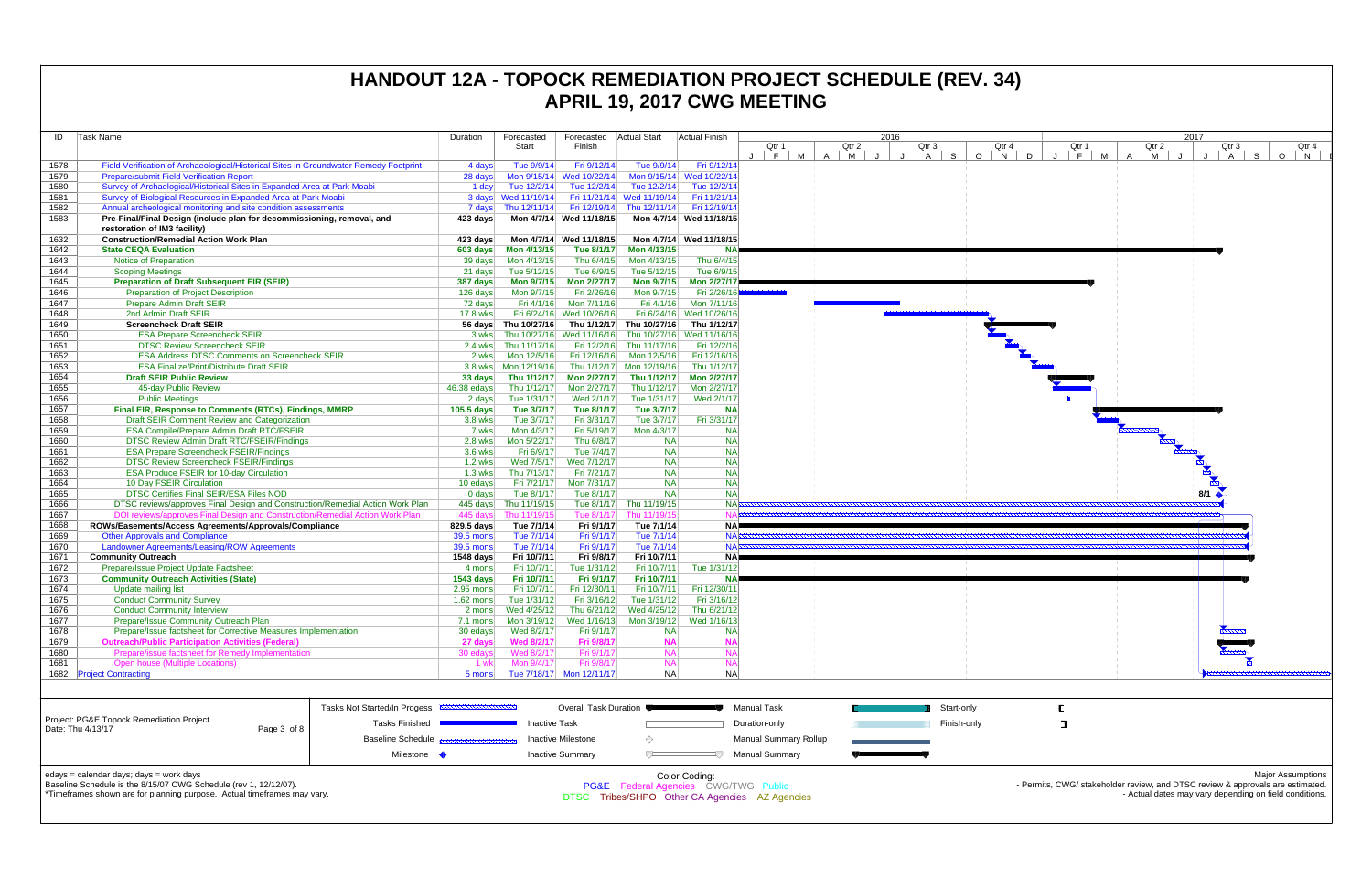| ID                                                                                                          | <b>Task Name</b>                                                                                       |                           | Duration         | Forecasted<br>Start  | Forecasted<br>Finish      | Actual Start             | <b>Actual Finish</b>      |                    | Qtr 1                        | Qtr 2             | 2016 | Qtr 3          |             | Qtı        |
|-------------------------------------------------------------------------------------------------------------|--------------------------------------------------------------------------------------------------------|---------------------------|------------------|----------------------|---------------------------|--------------------------|---------------------------|--------------------|------------------------------|-------------------|------|----------------|-------------|------------|
|                                                                                                             |                                                                                                        |                           |                  |                      |                           |                          |                           | J.                 | F.<br>M                      | $\mathsf{A}$<br>M |      | $\overline{A}$ | S           | $O \mid N$ |
| 1578                                                                                                        | Field Verification of Archaeological/Historical Sites in Groundwater Remedy Footprint                  |                           | 4 days           | Tue 9/9/14           | Fri 9/12/14               | Tue 9/9/14               | Fri 9/12/14               |                    |                              |                   |      |                |             |            |
| 1579                                                                                                        | Prepare/submit Field Verification Report                                                               |                           | 28 days          |                      | Mon 9/15/14 Wed 10/22/14  |                          | Mon 9/15/14 Wed 10/22/14  |                    |                              |                   |      |                |             |            |
| 1580                                                                                                        | Survey of Archaelogical/Historical Sites in Expanded Area at Park Moabi                                |                           | 1 day            | Tue 12/2/14          | Tue 12/2/14               | Tue 12/2/14              | Tue 12/2/14               |                    |                              |                   |      |                |             |            |
| 1581                                                                                                        | Survey of Biological Resources in Expanded Area at Park Moabi                                          |                           |                  | 3 days Wed 11/19/14  | Fri 11/21/14              | Wed 11/19/14             | Fri 11/21/14              |                    |                              |                   |      |                |             |            |
| 1582                                                                                                        | Annual archeological monitoring and site condition assessments                                         |                           | 7 days           | Thu 12/11/14         | Fri 12/19/14              | Thu 12/11/14             | Fri 12/19/14              |                    |                              |                   |      |                |             |            |
| 1583                                                                                                        | Pre-Final/Final Design (include plan for decommissioning, removal, and<br>restoration of IM3 facility) |                           | 423 days         |                      | Mon 4/7/14 Wed 11/18/15   |                          | Mon 4/7/14 Wed 11/18/15   |                    |                              |                   |      |                |             |            |
| 1632                                                                                                        | <b>Construction/Remedial Action Work Plan</b>                                                          |                           | 423 days         |                      | Mon 4/7/14 Wed 11/18/15   |                          | Mon 4/7/14 Wed 11/18/15   |                    |                              |                   |      |                |             |            |
| 1642                                                                                                        | <b>State CEQA Evaluation</b>                                                                           |                           | 603 days         | Mon 4/13/15          | Tue 8/1/17                | Mon 4/13/15              | NA                        |                    |                              |                   |      |                |             |            |
| 1643                                                                                                        | Notice of Preparation                                                                                  |                           | 39 days          | Mon 4/13/15          | Thu 6/4/15                | Mon 4/13/15              | Thu 6/4/15                |                    |                              |                   |      |                |             |            |
| 1644                                                                                                        | <b>Scoping Meetings</b>                                                                                |                           | 21 days          | Tue 5/12/15          | Tue 6/9/15                | Tue 5/12/15              | Tue 6/9/15                |                    |                              |                   |      |                |             |            |
| 1645                                                                                                        | <b>Preparation of Draft Subsequent EIR (SEIR)</b>                                                      |                           | 387 days         | Mon 9/7/15           | <b>Mon 2/27/17</b>        | <b>Mon 9/7/15</b>        | <b>Mon 2/27/17</b>        |                    |                              |                   |      |                |             |            |
| 1646                                                                                                        | <b>Preparation of Project Description</b>                                                              |                           | 126 days         | Mon 9/7/15           | Fri 2/26/16               | Mon 9/7/15               | Fri 2/26/16               |                    |                              |                   |      |                |             |            |
| 1647                                                                                                        | Prepare Admin Draft SEIR                                                                               |                           | 72 days          | Fri 4/1/16           | Mon 7/11/16               | Fri 4/1/16               | Mon 7/11/16               |                    |                              |                   |      |                |             |            |
| 1648                                                                                                        | 2nd Admin Draft SEIR                                                                                   |                           | 17.8 wks         |                      | Fri 6/24/16 Wed 10/26/16  |                          | Fri 6/24/16 Wed 10/26/16  |                    |                              |                   |      |                |             |            |
| 1649                                                                                                        | <b>Screencheck Draft SEIR</b>                                                                          |                           |                  | 56 days Thu 10/27/16 | Thu 1/12/17               | Thu 10/27/16             | Thu 1/12/17               |                    |                              |                   |      |                |             |            |
| 1650                                                                                                        | <b>ESA Prepare Screencheck SEIR</b>                                                                    |                           | 3 wks            |                      | Thu 10/27/16 Wed 11/16/16 |                          | Thu 10/27/16 Wed 11/16/16 |                    |                              |                   |      |                |             |            |
| 1651                                                                                                        | <b>DTSC Review Screencheck SEIR</b>                                                                    |                           | $2.4$ wks        | Thu 11/17/16         | Fri 12/2/16               | Thu 11/17/16             | Fri 12/2/16               |                    |                              |                   |      |                |             |            |
| 1652                                                                                                        | <b>ESA Address DTSC Comments on Screencheck SEIR</b>                                                   |                           | 2 wks            | Mon 12/5/16          | Fri 12/16/16              | Mon 12/5/16              | Fri 12/16/16              |                    |                              |                   |      |                |             |            |
| 1653                                                                                                        | <b>ESA Finalize/Print/Distribute Draft SEIR</b>                                                        |                           | 3.8 wks          | Mon 12/19/16         |                           | Thu 1/12/17 Mon 12/19/16 | Thu 1/12/17               |                    |                              |                   |      |                |             |            |
| 1654                                                                                                        | <b>Draft SEIR Public Review</b>                                                                        |                           | 33 days          | Thu 1/12/17          | <b>Mon 2/27/17</b>        | Thu 1/12/17              | Mon 2/27/17               |                    |                              |                   |      |                |             |            |
| 1655                                                                                                        | 45-day Public Review                                                                                   |                           | 46.38 edays      | Thu 1/12/17          | Mon 2/27/17               | Thu 1/12/17              | Mon 2/27/17               |                    |                              |                   |      |                |             |            |
| 1656                                                                                                        | <b>Public Meetings</b>                                                                                 |                           | 2 days           | Tue 1/31/17          | Wed 2/1/17                | Tue 1/31/17              | Wed 2/1/17                |                    |                              |                   |      |                |             |            |
| 1657                                                                                                        | Final EIR, Response to Comments (RTCs), Findings, MMRP                                                 |                           | $105.5$ days     | Tue 3/7/17           | Tue 8/1/17                | Tue 3/7/17               | <b>NA</b>                 |                    |                              |                   |      |                |             |            |
| 1658                                                                                                        | Draft SEIR Comment Review and Categorization                                                           |                           | 3.8 wks          | Tue 3/7/17           | Fri 3/31/17               | Tue 3/7/17               | Fri 3/31/17               |                    |                              |                   |      |                |             |            |
| 1659                                                                                                        | ESA Compile/Prepare Admin Draft RTC/FSEIR                                                              |                           | 7 wks            | Mon 4/3/17           | Fri 5/19/17               | Mon 4/3/17               | <b>NA</b>                 |                    |                              |                   |      |                |             |            |
| 1660                                                                                                        | <b>DTSC Review Admin Draft RTC/FSEIR/Findings</b>                                                      |                           | 2.8 wks          | Mon 5/22/17          | Thu 6/8/17                | <b>NA</b>                | <b>NA</b>                 |                    |                              |                   |      |                |             |            |
| 1661                                                                                                        | <b>ESA Prepare Screencheck FSEIR/Findings</b>                                                          |                           | 3.6 wks          | Fri 6/9/17           | Tue 7/4/17                | <b>NA</b>                | <b>NA</b>                 |                    |                              |                   |      |                |             |            |
| 1662                                                                                                        | <b>DTSC Review Screencheck FSEIR/Findings</b>                                                          |                           | <b>1.2 wks</b>   | Wed 7/5/17           | Wed 7/12/17               | <b>NA</b>                | <b>NA</b>                 |                    |                              |                   |      |                |             |            |
| 1663                                                                                                        | <b>ESA Produce FSEIR for 10-day Circulation</b>                                                        |                           | $1.3$ wks        | Thu 7/13/17          | Fri 7/21/17               | <b>NA</b>                | <b>NA</b>                 |                    |                              |                   |      |                |             |            |
| 1664                                                                                                        | 10 Day FSEIR Circulation                                                                               |                           | 10 edays         | Fri 7/21/17          | Mon 7/31/17               | <b>NA</b>                | <b>NA</b>                 |                    |                              |                   |      |                |             |            |
| 1665                                                                                                        | DTSC Certifies Final SEIR/ESA Files NOD                                                                |                           | $0$ days         | Tue 8/1/17           | Tue 8/1/17                | <b>NA</b>                | <b>NA</b>                 |                    |                              |                   |      |                |             |            |
| 1666                                                                                                        | DTSC reviews/approves Final Design and Construction/Remedial Action Work Plan                          |                           | 445 days         | Thu 11/19/15         | Tue 8/1/17                | Thu 11/19/15             | <b>NA</b>                 |                    |                              |                   |      |                |             |            |
| 1667                                                                                                        | DOI reviews/approves Final Design and Construction/Remedial Action Work Plan                           |                           | 445 days         | Thu 11/19/15         | Tue 8/1/17                | Thu 11/19/15             | N                         |                    |                              |                   |      |                |             |            |
| 1668                                                                                                        | ROWs/Easements/Access Agreements/Approvals/Compliance                                                  |                           | 829.5 days       | Tue 7/1/14           | Fri 9/1/17                | Tue 7/1/14               | <b>NA</b>                 |                    |                              |                   |      |                |             |            |
| 1669                                                                                                        | <b>Other Approvals and Compliance</b>                                                                  |                           | 39.5 mons        | Tue 7/1/14           | Fri 9/1/17                | Tue 7/1/14               | <b>NA</b>                 |                    |                              |                   |      |                |             |            |
| 1670                                                                                                        | Landowner Agreements/Leasing/ROW Agreements                                                            |                           | <b>39.5 mons</b> | Tue 7/1/14           | Fri 9/1/17                | Tue 7/1/14               | <b>NA</b>                 |                    |                              |                   |      |                |             |            |
| 1671                                                                                                        | <b>Community Outreach</b>                                                                              |                           | 1548 days        | Fri 10/7/11          | Fri 9/8/17                | Fri 10/7/11              | <b>NA</b>                 |                    |                              |                   |      |                |             |            |
| 1672                                                                                                        | Prepare/Issue Project Update Factsheet                                                                 |                           | 4 mons           | Fri 10/7/11          | Tue 1/31/12               | Fri 10/7/11              | Tue 1/31/12               |                    |                              |                   |      |                |             |            |
| 1673                                                                                                        | <b>Community Outreach Activities (State)</b>                                                           |                           | <b>1543 days</b> | Fri 10/7/11          | Fri 9/1/17                | Fri 10/7/11              | <b>NA</b>                 |                    |                              |                   |      |                |             |            |
| 1674                                                                                                        | <b>Update mailing list</b>                                                                             |                           | 2.95 mons        | Fri 10/7/11          | Fri 12/30/11              | Fri 10/7/11              | Fri 12/30/11              |                    |                              |                   |      |                |             |            |
| 1675                                                                                                        | <b>Conduct Community Survey</b>                                                                        |                           | 1.62 mons        | Tue 1/31/12          | Fri 3/16/12               | Tue 1/31/12              | Fri 3/16/12               |                    |                              |                   |      |                |             |            |
| 1676                                                                                                        | <b>Conduct Community Interview</b>                                                                     |                           | 2 mons           | Wed 4/25/12          | Thu 6/21/12               | Wed 4/25/12              | Thu 6/21/12               |                    |                              |                   |      |                |             |            |
| 1677                                                                                                        | Prepare/Issue Community Outreach Plan                                                                  |                           | 7.1 mons         | Mon 3/19/12          | Wed 1/16/13               | Mon 3/19/12              | Wed 1/16/13               |                    |                              |                   |      |                |             |            |
| 1678                                                                                                        | Prepare/Issue factsheet for Corrective Measures Implementation                                         |                           | 30 edays         | Wed 8/2/17           | Fri 9/1/17                | <b>NA</b>                | NA                        |                    |                              |                   |      |                |             |            |
| 1679                                                                                                        | <b>Outreach/Public Participation Activities (Federal)</b>                                              |                           | 27 days          | <b>Wed 8/2/17</b>    | Fri 9/8/17                | <b>NA</b>                | <b>NA</b>                 |                    |                              |                   |      |                |             |            |
| 1680                                                                                                        | Prepare/issue factsheet for Remedy Implementation                                                      |                           | 30 edays         | Wed 8/2/17           | Fri 9/1/17                | <b>NA</b>                | <b>NA</b>                 |                    |                              |                   |      |                |             |            |
| 1681                                                                                                        | <b>Open house (Multiple Locations)</b>                                                                 |                           | 1 wk             | Mon 9/4/17           | Fri 9/8/17                | <b>NA</b>                | <b>NA</b>                 |                    |                              |                   |      |                |             |            |
|                                                                                                             | 1682 Project Contracting                                                                               |                           | 5 mons           |                      | Tue 7/18/17 Mon 12/11/17  | <b>NA</b>                | <b>NA</b>                 |                    |                              |                   |      |                |             |            |
|                                                                                                             |                                                                                                        |                           |                  |                      |                           |                          |                           |                    |                              |                   |      |                |             |            |
|                                                                                                             |                                                                                                        |                           |                  |                      | Overall Task Duration     |                          |                           | <b>Manual Task</b> |                              |                   |      |                | Start-only  |            |
| Tasks Not Started/In Progess <b>EXAMPLE IN AN INCORPORATION</b><br>Project: PG&E Topock Remediation Project |                                                                                                        |                           |                  |                      |                           |                          |                           |                    |                              |                   |      |                |             |            |
|                                                                                                             | Date: Thu 4/13/17<br>Page 3 of 8                                                                       | <b>Tasks Finished</b>     |                  | <b>Inactive Task</b> |                           |                          |                           | Duration-only      |                              |                   |      |                | Finish-only |            |
|                                                                                                             |                                                                                                        | <b>Baseline Schedule</b>  |                  |                      | Inactive Milestone        | ♦                        |                           |                    | <b>Manual Summary Rollup</b> |                   |      |                |             |            |
|                                                                                                             |                                                                                                        | Milestone $\blacklozenge$ |                  |                      | <b>Inactive Summary</b>   | ᅮ                        | ₹                         |                    | <b>Manual Summary</b>        |                   |      |                |             |            |
|                                                                                                             | edays = calendar days; days = work days                                                                |                           |                  |                      |                           |                          | Color Coding:             |                    |                              |                   |      |                |             |            |
|                                                                                                             |                                                                                                        |                           |                  |                      |                           |                          |                           |                    |                              |                   |      |                |             |            |



Baseline Schedule is the 8/15/07 CWG Schedule (rev 1, 12/12/07).

\*Timeframes shown are for planning purpose. Actual timeframes may vary.

Color Coding:<br>PG&E Federal Agencies CWG/TWG Public<br>DTSC Tribes/SHPO Other CA Agencies AZ Agencies